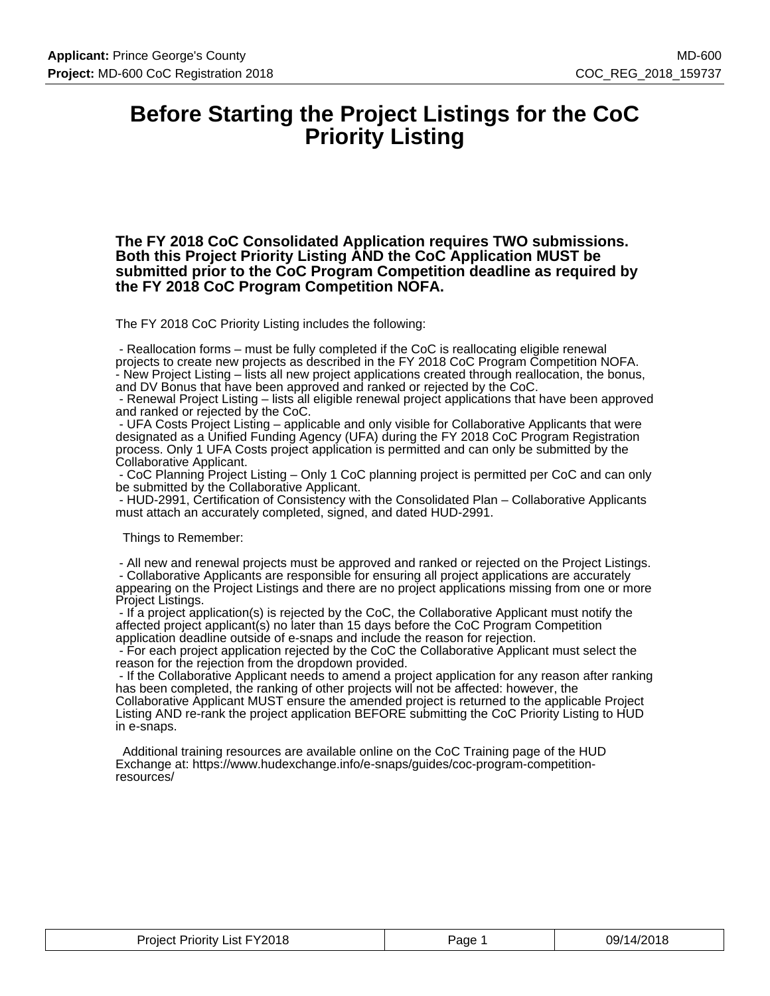## **Before Starting the Project Listings for the CoC Priority Listing**

**The FY 2018 CoC Consolidated Application requires TWO submissions. Both this Project Priority Listing AND the CoC Application MUST be submitted prior to the CoC Program Competition deadline as required by the FY 2018 CoC Program Competition NOFA.**

The FY 2018 CoC Priority Listing includes the following:

 - Reallocation forms – must be fully completed if the CoC is reallocating eligible renewal projects to create new projects as described in the FY 2018 CoC Program Competition NOFA. - New Project Listing – lists all new project applications created through reallocation, the bonus, and DV Bonus that have been approved and ranked or rejected by the CoC.

 - Renewal Project Listing – lists all eligible renewal project applications that have been approved and ranked or rejected by the CoC.

 - UFA Costs Project Listing – applicable and only visible for Collaborative Applicants that were designated as a Unified Funding Agency (UFA) during the FY 2018 CoC Program Registration process. Only 1 UFA Costs project application is permitted and can only be submitted by the Collaborative Applicant.

 - CoC Planning Project Listing – Only 1 CoC planning project is permitted per CoC and can only be submitted by the Collaborative Applicant.

 - HUD-2991, Certification of Consistency with the Consolidated Plan – Collaborative Applicants must attach an accurately completed, signed, and dated HUD-2991.

Things to Remember:

 - All new and renewal projects must be approved and ranked or rejected on the Project Listings. - Collaborative Applicants are responsible for ensuring all project applications are accurately appearing on the Project Listings and there are no project applications missing from one or more Project Listings.

 - If a project application(s) is rejected by the CoC, the Collaborative Applicant must notify the affected project applicant(s) no later than 15 days before the CoC Program Competition application deadline outside of e-snaps and include the reason for rejection.

 - For each project application rejected by the CoC the Collaborative Applicant must select the reason for the rejection from the dropdown provided.

 - If the Collaborative Applicant needs to amend a project application for any reason after ranking has been completed, the ranking of other projects will not be affected: however, the Collaborative Applicant MUST ensure the amended project is returned to the applicable Project Listing AND re-rank the project application BEFORE submitting the CoC Priority Listing to HUD in e-snaps.

 Additional training resources are available online on the CoC Training page of the HUD Exchange at: https://www.hudexchange.info/e-snaps/guides/coc-program-competitionresources/

| List FY2018<br>Project<br>ັ <sup>∪</sup> rioritv ∟. | ⊇aɑe | 14/2018<br>09/1 |
|-----------------------------------------------------|------|-----------------|
|-----------------------------------------------------|------|-----------------|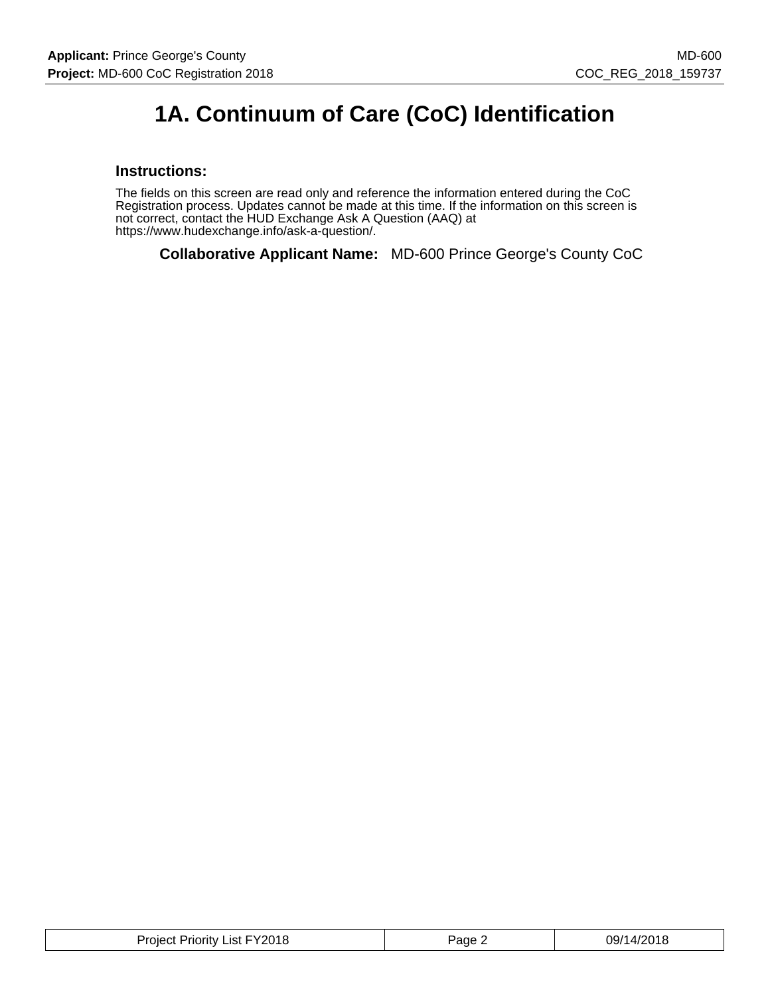# **1A. Continuum of Care (CoC) Identification**

#### **Instructions:**

The fields on this screen are read only and reference the information entered during the CoC Registration process. Updates cannot be made at this time. If the information on this screen is not correct, contact the HUD Exchange Ask A Question (AAQ) at https://www.hudexchange.info/ask-a-question/.

**Collaborative Applicant Name:** MD-600 Prince George's County CoC

| Project Priority List FY2018 | Page. | 09/14/2018 |
|------------------------------|-------|------------|
|------------------------------|-------|------------|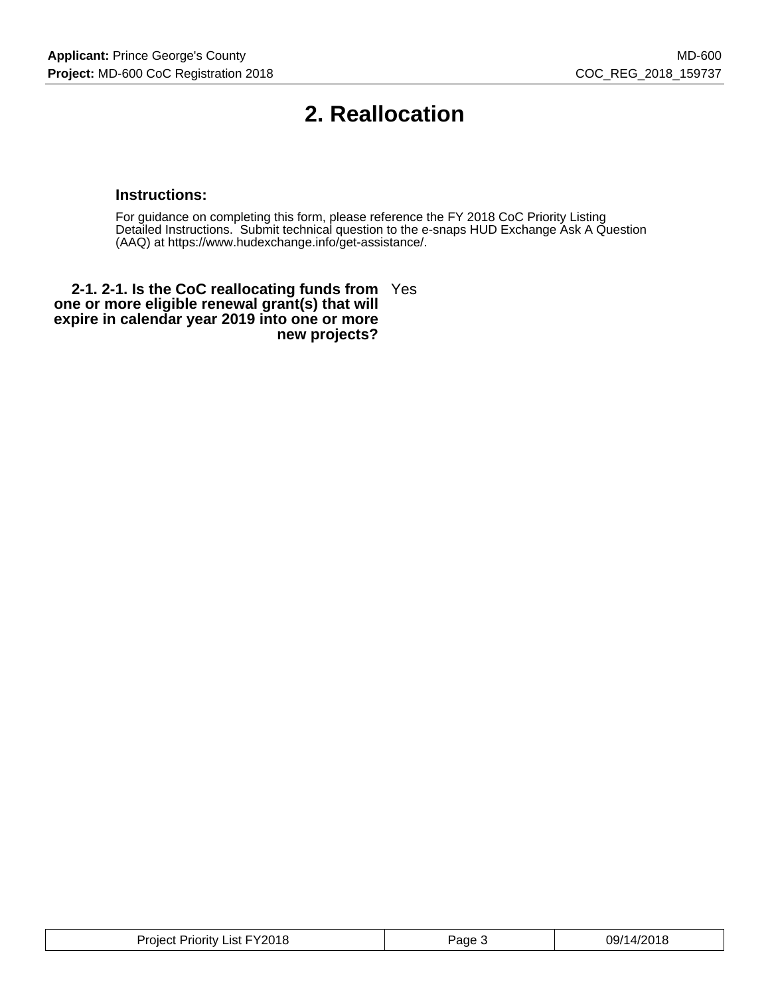# **2. Reallocation**

## **Instructions:**

For guidance on completing this form, please reference the FY 2018 CoC Priority Listing Detailed Instructions. Submit technical question to the e-snaps HUD Exchange Ask A Question (AAQ) at https://www.hudexchange.info/get-assistance/.

**2-1. 2-1. Is the CoC reallocating funds from** Yes **one or more eligible renewal grant(s) that will expire in calendar year 2019 into one or more new projects?**

| Project Priority List FY2018 | Page J | 09/14/2018 |
|------------------------------|--------|------------|
|------------------------------|--------|------------|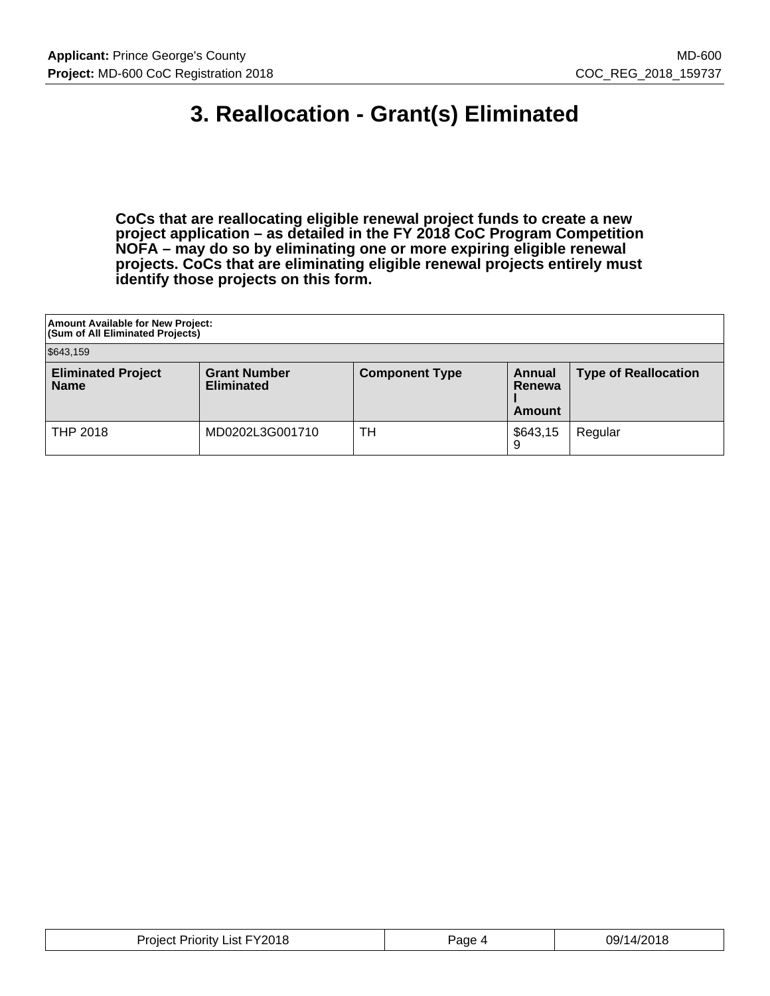# **3. Reallocation - Grant(s) Eliminated**

**CoCs that are reallocating eligible renewal project funds to create a new project application – as detailed in the FY 2018 CoC Program Competition NOFA – may do so by eliminating one or more expiring eligible renewal projects. CoCs that are eliminating eligible renewal projects entirely must identify those projects on this form.**

| <b>Amount Available for New Project:</b><br><b>(Sum of All Eliminated Projects)</b> |                                          |                       |                                   |                             |
|-------------------------------------------------------------------------------------|------------------------------------------|-----------------------|-----------------------------------|-----------------------------|
| \$643,159                                                                           |                                          |                       |                                   |                             |
| <b>Eliminated Project</b><br><b>Name</b>                                            | <b>Grant Number</b><br><b>Eliminated</b> | <b>Component Type</b> | Annual<br>Renewa<br><b>Amount</b> | <b>Type of Reallocation</b> |
| <b>THP 2018</b>                                                                     | MD0202L3G001710                          | TН                    | \$643,15                          | Regular                     |

| <b>Project Priority List FY2018</b> | Page 4 | 09/14/2018 |
|-------------------------------------|--------|------------|
|-------------------------------------|--------|------------|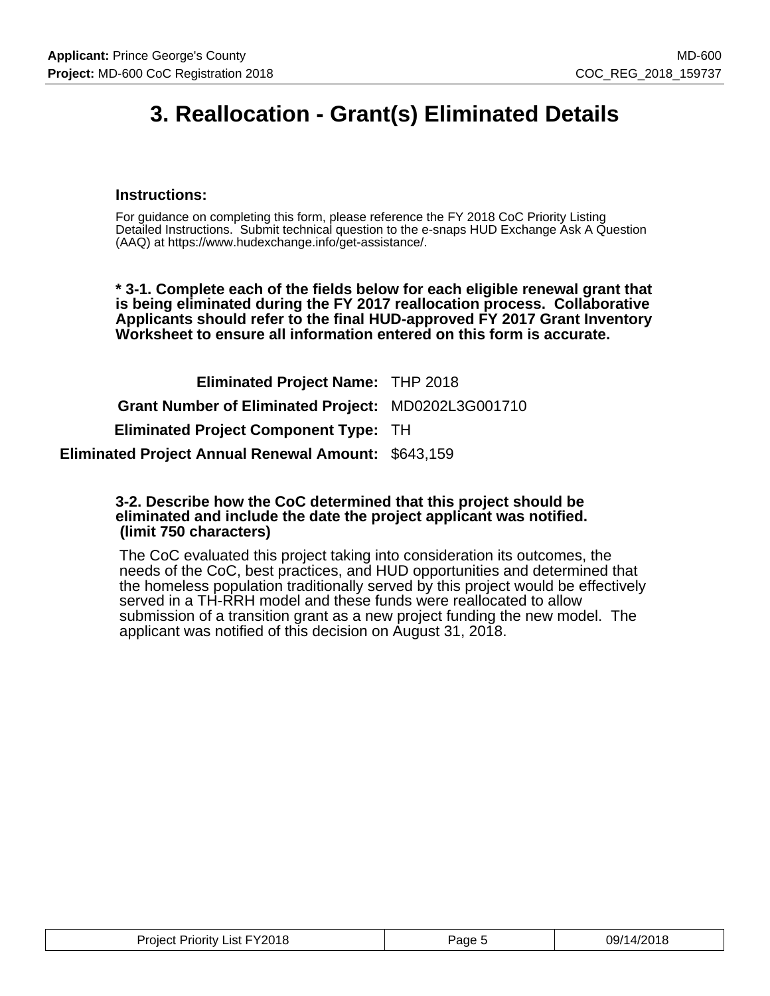# **3. Reallocation - Grant(s) Eliminated Details**

## **Instructions:**

For guidance on completing this form, please reference the FY 2018 CoC Priority Listing Detailed Instructions. Submit technical question to the e-snaps HUD Exchange Ask A Question (AAQ) at https://www.hudexchange.info/get-assistance/.

**\* 3-1. Complete each of the fields below for each eligible renewal grant that is being eliminated during the FY 2017 reallocation process. Collaborative Applicants should refer to the final HUD-approved FY 2017 Grant Inventory Worksheet to ensure all information entered on this form is accurate.**

**Eliminated Project Name:** THP 2018 **Grant Number of Eliminated Project:** MD0202L3G001710 **Eliminated Project Component Type:** TH **Eliminated Project Annual Renewal Amount:** \$643,159

#### **3-2. Describe how the CoC determined that this project should be eliminated and include the date the project applicant was notified. (limit 750 characters)**

The CoC evaluated this project taking into consideration its outcomes, the needs of the CoC, best practices, and HUD opportunities and determined that the homeless population traditionally served by this project would be effectively served in a TH-RRH model and these funds were reallocated to allow submission of a transition grant as a new project funding the new model. The applicant was notified of this decision on August 31, 2018.

| Project Priority List FY2018 | 'age t | 09/14/2018 |
|------------------------------|--------|------------|
|------------------------------|--------|------------|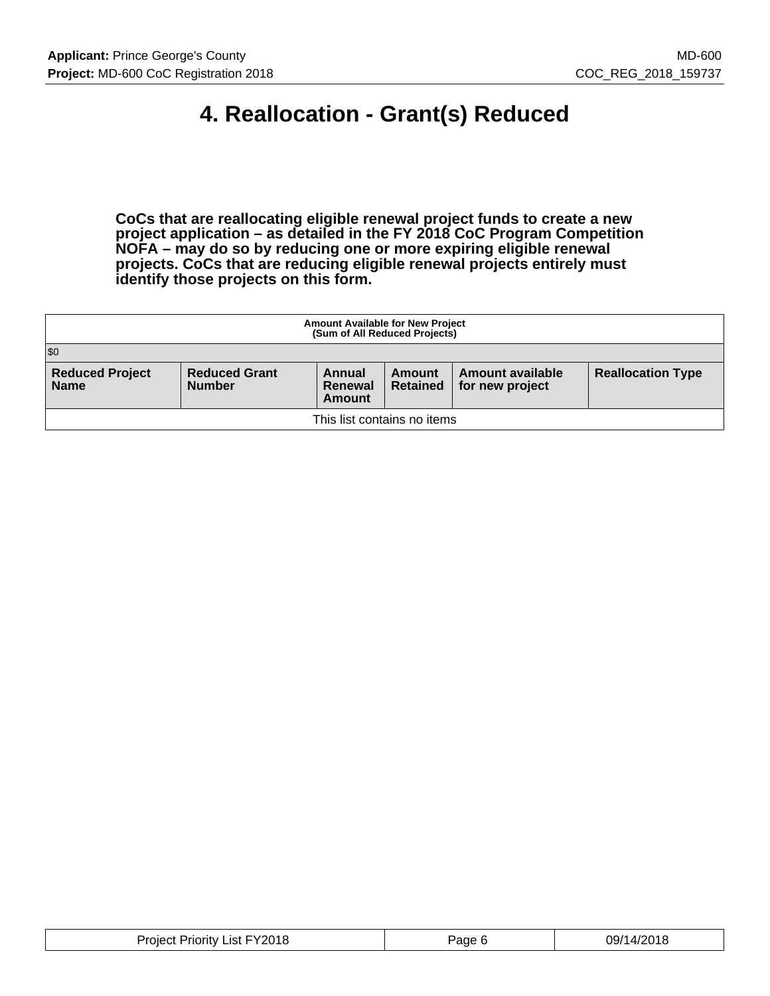# **4. Reallocation - Grant(s) Reduced**

**CoCs that are reallocating eligible renewal project funds to create a new project application – as detailed in the FY 2018 CoC Program Competition NOFA – may do so by reducing one or more expiring eligible renewal projects. CoCs that are reducing eligible renewal projects entirely must identify those projects on this form.**

| <b>Amount Available for New Project</b><br>(Sum of All Reduced Projects) |                                       |                             |                           |                                     |                          |
|--------------------------------------------------------------------------|---------------------------------------|-----------------------------|---------------------------|-------------------------------------|--------------------------|
| \$0                                                                      |                                       |                             |                           |                                     |                          |
| <b>Reduced Project</b><br><b>Name</b>                                    | <b>Reduced Grant</b><br><b>Number</b> | Annual<br>Renewal<br>Amount | Amount<br><b>Retained</b> | Amount available<br>for new project | <b>Reallocation Type</b> |
| This list contains no items                                              |                                       |                             |                           |                                     |                          |

| FY2018<br>_ıst :<br>Priority<br>wer<br>___ | 'age | ່'14/2015<br>Э9, |
|--------------------------------------------|------|------------------|
|--------------------------------------------|------|------------------|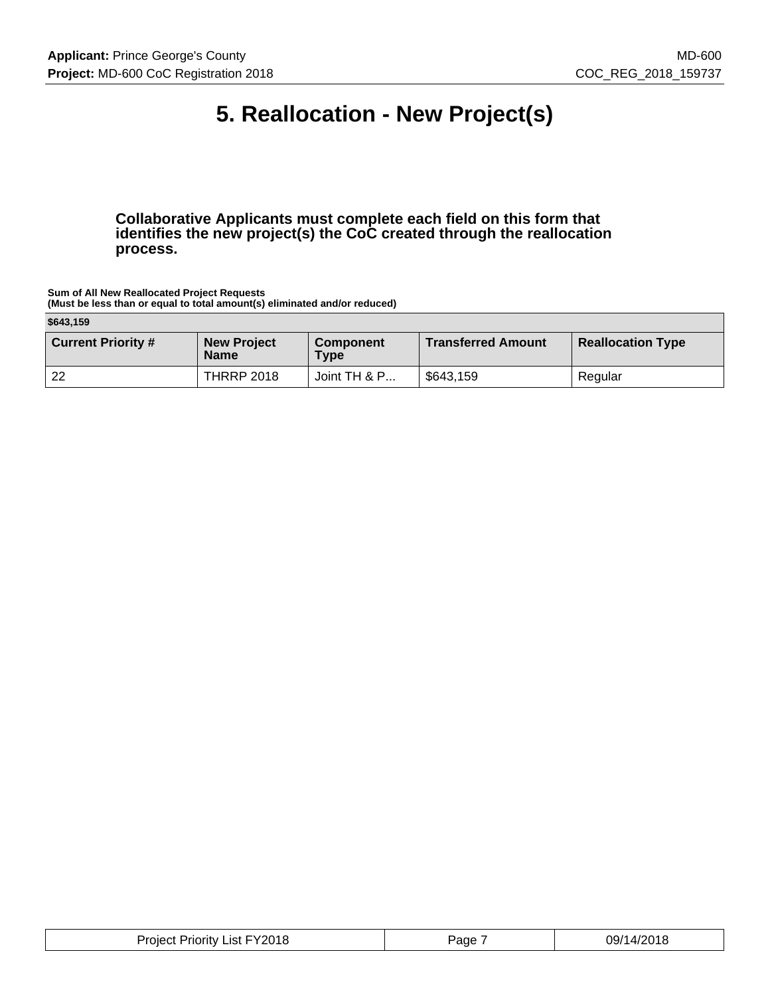# **5. Reallocation - New Project(s)**

**Collaborative Applicants must complete each field on this form that identifies the new project(s) the CoC created through the reallocation process.**

**Sum of All New Reallocated Project Requests (Must be less than or equal to total amount(s) eliminated and/or reduced)**

**\$643,159**

| .                         |                                   |                                 |                           |                          |
|---------------------------|-----------------------------------|---------------------------------|---------------------------|--------------------------|
| <b>Current Priority #</b> | <b>New Project</b><br><b>Name</b> | <b>Component</b><br><b>Type</b> | <b>Transferred Amount</b> | <b>Reallocation Type</b> |
| 22                        | <b>THRRP 2018</b>                 | Joint TH & P                    | \$643,159                 | Regular                  |

|  | FY2018<br>Priorit∨<br>∟ıst F<br>Project | 'age | ∩Q/1<br>70 Q A<br>טי<br>ັບມ |
|--|-----------------------------------------|------|-----------------------------|
|--|-----------------------------------------|------|-----------------------------|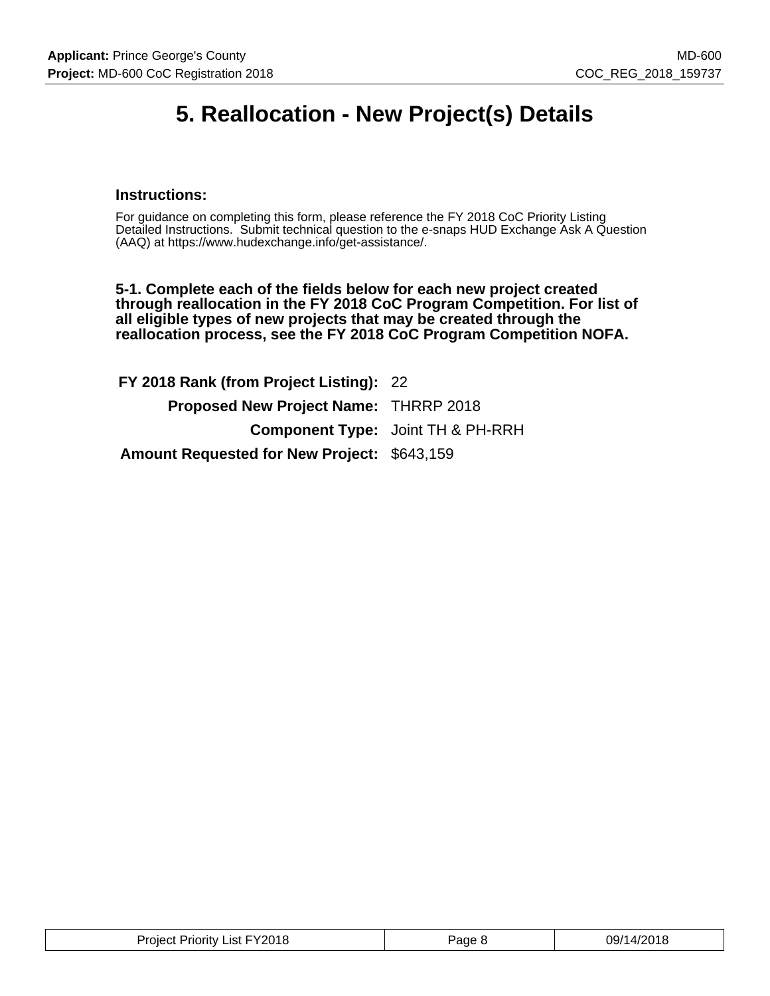## **5. Reallocation - New Project(s) Details**

## **Instructions:**

For guidance on completing this form, please reference the FY 2018 CoC Priority Listing Detailed Instructions. Submit technical question to the e-snaps HUD Exchange Ask A Question (AAQ) at https://www.hudexchange.info/get-assistance/.

**5-1. Complete each of the fields below for each new project created through reallocation in the FY 2018 CoC Program Competition. For list of all eligible types of new projects that may be created through the reallocation process, see the FY 2018 CoC Program Competition NOFA.**

**FY 2018 Rank (from Project Listing):** 22 **Proposed New Project Name:** THRRP 2018 **Component Type:** Joint TH & PH-RRH **Amount Requested for New Project:** \$643,159

| <b>Project Priority List FY2018</b> | Page 8 | 09/14/201ዖ |
|-------------------------------------|--------|------------|
|-------------------------------------|--------|------------|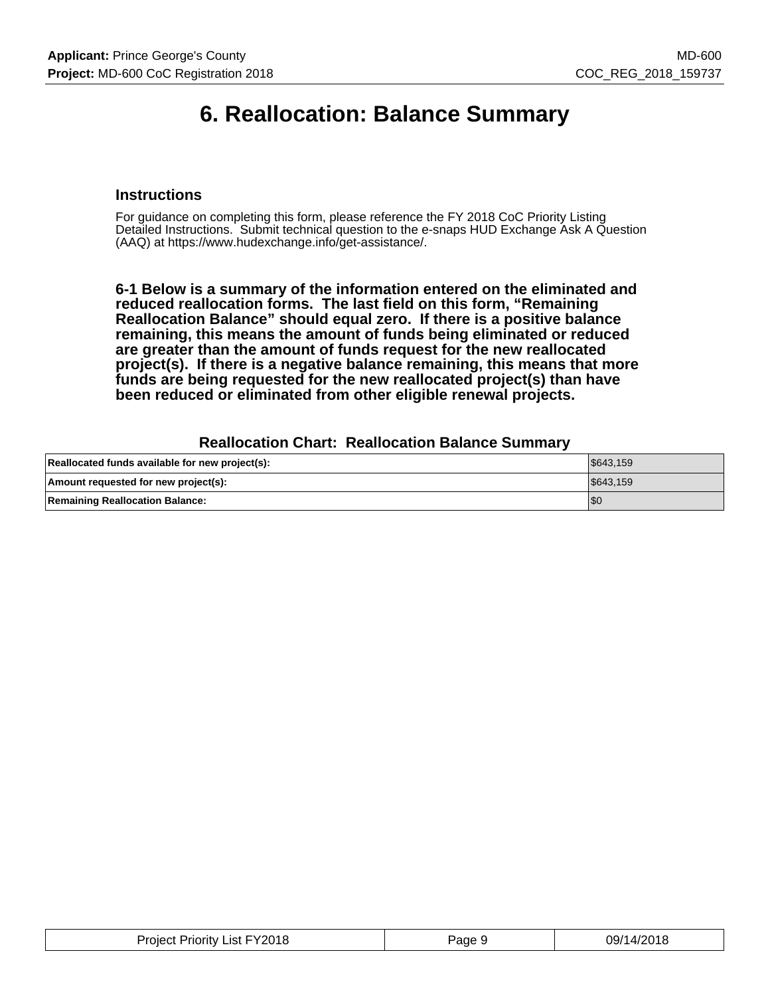## **6. Reallocation: Balance Summary**

## **Instructions**

For guidance on completing this form, please reference the FY 2018 CoC Priority Listing Detailed Instructions. Submit technical question to the e-snaps HUD Exchange Ask A Question (AAQ) at https://www.hudexchange.info/get-assistance/.

**6-1 Below is a summary of the information entered on the eliminated and reduced reallocation forms. The last field on this form, "Remaining Reallocation Balance" should equal zero. If there is a positive balance remaining, this means the amount of funds being eliminated or reduced are greater than the amount of funds request for the new reallocated project(s). If there is a negative balance remaining, this means that more funds are being requested for the new reallocated project(s) than have been reduced or eliminated from other eligible renewal projects.**

#### **Reallocation Chart: Reallocation Balance Summary**

| Reallocated funds available for new project(s): | \$643.159 |
|-------------------------------------------------|-----------|
| Amount requested for new project(s):            | \$643.159 |
| <b>Remaining Reallocation Balance:</b>          | 'SC       |

| Project Priority List FY2018 | Page 9 | 09/14/2018 |
|------------------------------|--------|------------|
|------------------------------|--------|------------|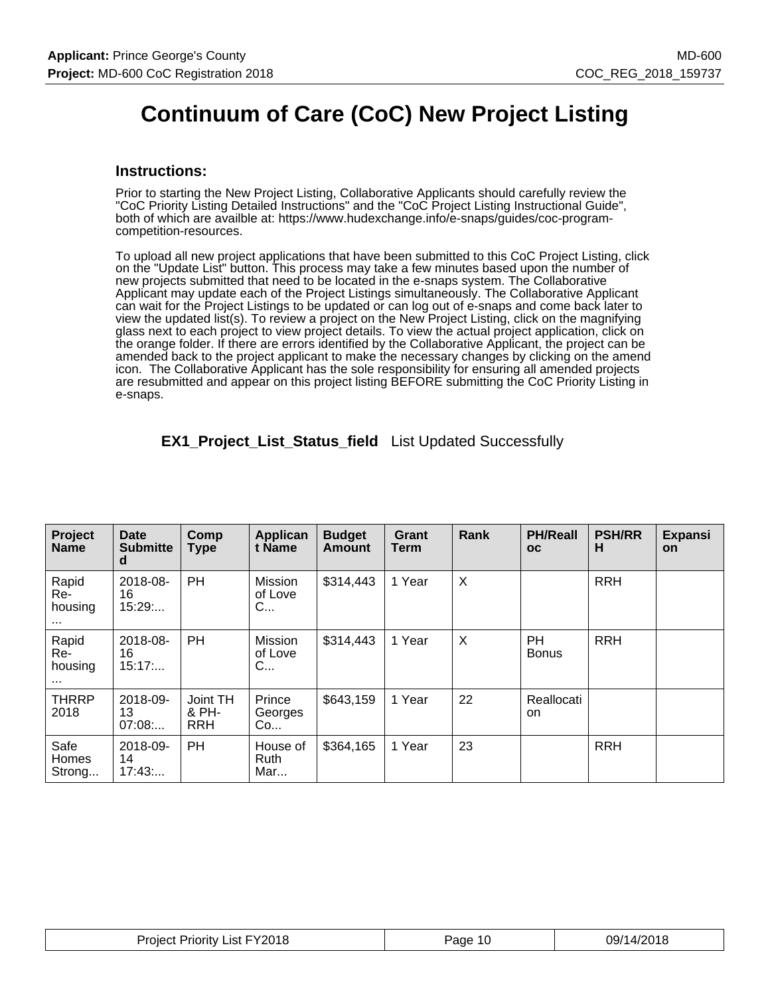# **Continuum of Care (CoC) New Project Listing**

#### **Instructions:**

Prior to starting the New Project Listing, Collaborative Applicants should carefully review the "CoC Priority Listing Detailed Instructions" and the "CoC Project Listing Instructional Guide", both of which are availble at: https://www.hudexchange.info/e-snaps/guides/coc-programcompetition-resources.

To upload all new project applications that have been submitted to this CoC Project Listing, click on the "Update List" button. This process may take a few minutes based upon the number of new projects submitted that need to be located in the e-snaps system. The Collaborative Applicant may update each of the Project Listings simultaneously. The Collaborative Applicant can wait for the Project Listings to be updated or can log out of e-snaps and come back later to view the updated list(s). To review a project on the New Project Listing, click on the magnifying glass next to each project to view project details. To view the actual project application, click on the orange folder. If there are errors identified by the Collaborative Applicant, the project can be amended back to the project applicant to make the necessary changes by clicking on the amend icon. The Collaborative Applicant has the sole responsibility for ensuring all amended projects are resubmitted and appear on this project listing BEFORE submitting the CoC Priority Listing in e-snaps.

| Project<br><b>Name</b>              | <b>Date</b><br><b>Submitte</b><br>d | Comp<br><b>Type</b>             | Applican<br>t Name      | <b>Budget</b><br><b>Amount</b> | Grant<br>Term | Rank | <b>PH/Reall</b><br>oc     | <b>PSH/RR</b><br>н | Expansi<br><b>on</b> |
|-------------------------------------|-------------------------------------|---------------------------------|-------------------------|--------------------------------|---------------|------|---------------------------|--------------------|----------------------|
| Rapid<br>Re-<br>housing<br>$\cdots$ | 2018-08-<br>16<br>15:29             | <b>PH</b>                       | Mission<br>of Love<br>C | \$314,443                      | 1 Year        | X    |                           | <b>RRH</b>         |                      |
| Rapid<br>Re-<br>housing<br>$\cdots$ | 2018-08-<br>16<br>15:17             | <b>PH</b>                       | Mission<br>of Love<br>C | \$314,443                      | 1 Year        | X    | <b>PH</b><br><b>Bonus</b> | <b>RRH</b>         |                      |
| <b>THRRP</b><br>2018                | 2018-09-<br>13<br>07:08             | Joint TH<br>& PH-<br><b>RRH</b> | Prince<br>Georges<br>Co | \$643,159                      | 1 Year        | 22   | Reallocati<br>on          |                    |                      |
| Safe<br><b>Homes</b><br>Strong      | 2018-09-<br>14<br>17:43             | <b>PH</b>                       | House of<br>Ruth<br>Mar | \$364,165                      | 1 Year        | 23   |                           | <b>RRH</b>         |                      |

**EX1\_Project\_List\_Status\_field** List Updated Successfully

| Project Priority List FY2018 | Page 10 | 09/14/2018 |
|------------------------------|---------|------------|
|------------------------------|---------|------------|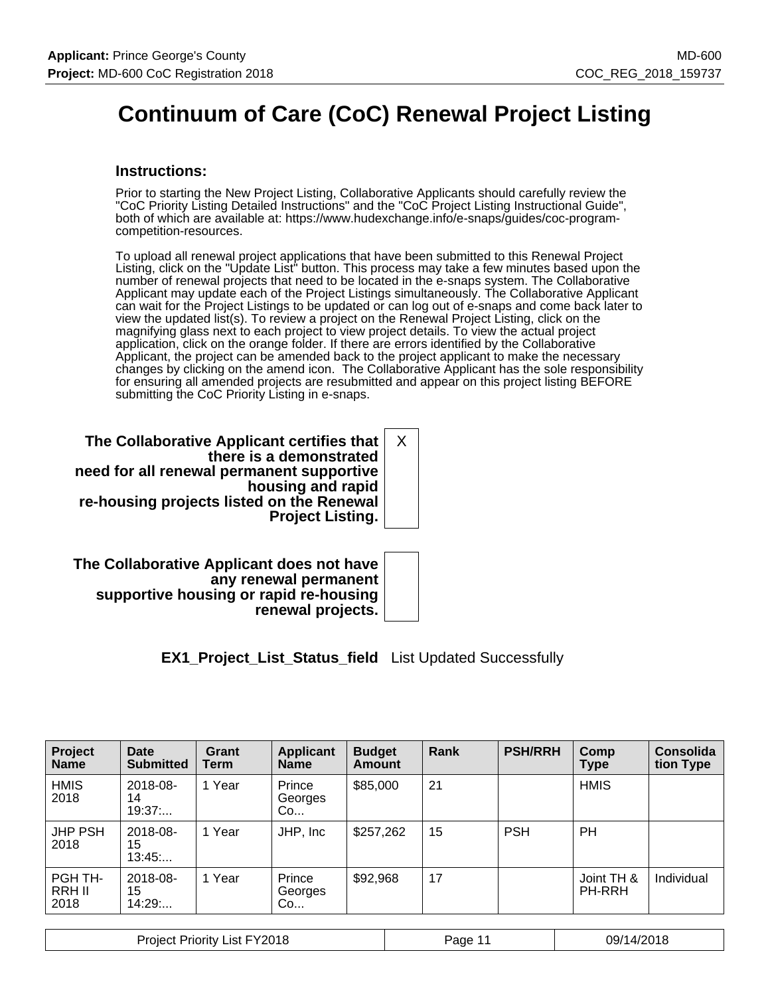# **Continuum of Care (CoC) Renewal Project Listing**

## **Instructions:**

Prior to starting the New Project Listing, Collaborative Applicants should carefully review the "CoC Priority Listing Detailed Instructions" and the "CoC Project Listing Instructional Guide", both of which are available at: https://www.hudexchange.info/e-snaps/guides/coc-programcompetition-resources.

To upload all renewal project applications that have been submitted to this Renewal Project Listing, click on the "Update List" button. This process may take a few minutes based upon the number of renewal projects that need to be located in the e-snaps system. The Collaborative Applicant may update each of the Project Listings simultaneously. The Collaborative Applicant can wait for the Project Listings to be updated or can log out of e-snaps and come back later to view the updated list(s). To review a project on the Renewal Project Listing, click on the magnifying glass next to each project to view project details. To view the actual project application, click on the orange folder. If there are errors identified by the Collaborative Applicant, the project can be amended back to the project applicant to make the necessary changes by clicking on the amend icon. The Collaborative Applicant has the sole responsibility for ensuring all amended projects are resubmitted and appear on this project listing BEFORE submitting the CoC Priority Listing in e-snaps.

**The Collaborative Applicant certifies that there is a demonstrated need for all renewal permanent supportive housing and rapid re-housing projects listed on the Renewal Project Listing.** X

**The Collaborative Applicant does not have any renewal permanent supportive housing or rapid re-housing renewal projects.**

**EX1\_Project\_List\_Status\_field** List Updated Successfully

| Project<br><b>Name</b>    | Date<br><b>Submitted</b> | Grant<br>Term | <b>Applicant</b><br><b>Name</b> | <b>Budget</b><br><b>Amount</b> | Rank | <b>PSH/RRH</b> | Comp<br><b>Type</b>  | <b>Consolida</b><br>tion Type |
|---------------------------|--------------------------|---------------|---------------------------------|--------------------------------|------|----------------|----------------------|-------------------------------|
| <b>HMIS</b><br>2018       | 2018-08-<br>14<br>19:37  | 1 Year        | Prince<br>Georges<br>Co         | \$85,000                       | 21   |                | <b>HMIS</b>          |                               |
| <b>JHP PSH</b><br>2018    | 2018-08-<br>15<br>13:45  | 1 Year        | JHP, Inc.                       | \$257,262                      | 15   | <b>PSH</b>     | <b>PH</b>            |                               |
| PGH TH-<br>RRH II<br>2018 | 2018-08-<br>15<br>14:29: | 1 Year        | Prince<br>Georges<br>Co         | \$92,968                       | 17   |                | Joint TH &<br>PH-RRH | Individual                    |

| Project Priority List FY2018 | Page 11 | 09/14/2018 |
|------------------------------|---------|------------|
|------------------------------|---------|------------|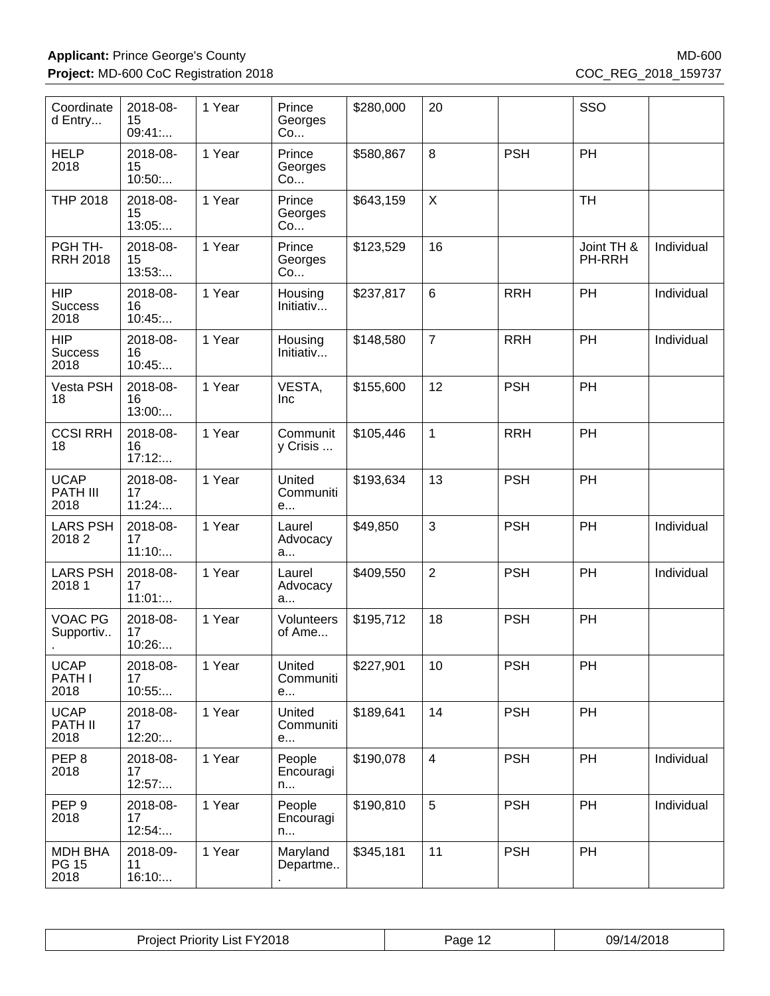| Coordinate<br>d Entry                  | 2018-08-<br>15<br>09:41: | 1 Year | Prince<br>Georges<br>Co  | \$280,000 | 20             |            | SSO                  |            |
|----------------------------------------|--------------------------|--------|--------------------------|-----------|----------------|------------|----------------------|------------|
| <b>HELP</b><br>2018                    | 2018-08-<br>15<br>10:50  | 1 Year | Prince<br>Georges<br>Co  | \$580,867 | 8              | <b>PSH</b> | PH                   |            |
| <b>THP 2018</b>                        | 2018-08-<br>15<br>13:05: | 1 Year | Prince<br>Georges<br>Co  | \$643,159 | $\sf X$        |            | <b>TH</b>            |            |
| PGH TH-<br><b>RRH 2018</b>             | 2018-08-<br>15<br>13:53  | 1 Year | Prince<br>Georges<br>Co  | \$123,529 | 16             |            | Joint TH &<br>PH-RRH | Individual |
| <b>HIP</b><br><b>Success</b><br>2018   | 2018-08-<br>16<br>10:45  | 1 Year | Housing<br>Initiativ     | \$237,817 | $6\phantom{1}$ | <b>RRH</b> | PH                   | Individual |
| <b>HIP</b><br><b>Success</b><br>2018   | 2018-08-<br>16<br>10:45  | 1 Year | Housing<br>Initiativ     | \$148,580 | $\overline{7}$ | <b>RRH</b> | PH                   | Individual |
| Vesta PSH<br>18                        | 2018-08-<br>16<br>13:00  | 1 Year | VESTA,<br><b>Inc</b>     | \$155,600 | 12             | <b>PSH</b> | PH                   |            |
| <b>CCSI RRH</b><br>18                  | 2018-08-<br>16<br>17:12  | 1 Year | Communit<br>y Crisis     | \$105,446 | $\mathbf{1}$   | <b>RRH</b> | PH                   |            |
| <b>UCAP</b><br>PATH III<br>2018        | 2018-08-<br>17<br>11:24  | 1 Year | United<br>Communiti<br>e | \$193,634 | 13             | <b>PSH</b> | PH                   |            |
| <b>LARS PSH</b><br>20182               | 2018-08-<br>17<br>11:10  | 1 Year | Laurel<br>Advocacy<br>a  | \$49,850  | 3              | <b>PSH</b> | PH                   | Individual |
| <b>LARS PSH</b><br>2018 1              | 2018-08-<br>17<br>11:01  | 1 Year | Laurel<br>Advocacy<br>a  | \$409,550 | $\overline{2}$ | <b>PSH</b> | PH                   | Individual |
| VOAC PG<br>Supportiv                   | 2018-08-<br>17<br>10:26: | 1 Year | Volunteers<br>of Ame     | \$195,712 | 18             | <b>PSH</b> | PH                   |            |
| <b>UCAP</b><br>PATH I<br>2018          | 2018-08-<br>17<br>10:55  | 1 Year | United<br>Communiti<br>e | \$227,901 | 10             | <b>PSH</b> | PH                   |            |
| <b>UCAP</b><br><b>PATH II</b><br>2018  | 2018-08-<br>17<br>12:20: | 1 Year | United<br>Communiti<br>e | \$189,641 | 14             | <b>PSH</b> | PH                   |            |
| PEP <sub>8</sub><br>2018               | 2018-08-<br>17<br>12:57  | 1 Year | People<br>Encouragi<br>n | \$190,078 | $\overline{4}$ | <b>PSH</b> | <b>PH</b>            | Individual |
| PEP <sub>9</sub><br>2018               | 2018-08-<br>17<br>12:54: | 1 Year | People<br>Encouragi<br>n | \$190,810 | $\overline{5}$ | <b>PSH</b> | PH                   | Individual |
| <b>MDH BHA</b><br><b>PG 15</b><br>2018 | 2018-09-<br>11<br>16:10: | 1 Year | Maryland<br>Departme     | \$345,181 | 11             | <b>PSH</b> | PH                   |            |

| Y2018<br>⊃r∩`<br>_ıst<br>Priority.<br><b>COLOR</b> | Pane | 1/2019<br>09/1<br>טוני |
|----------------------------------------------------|------|------------------------|
|----------------------------------------------------|------|------------------------|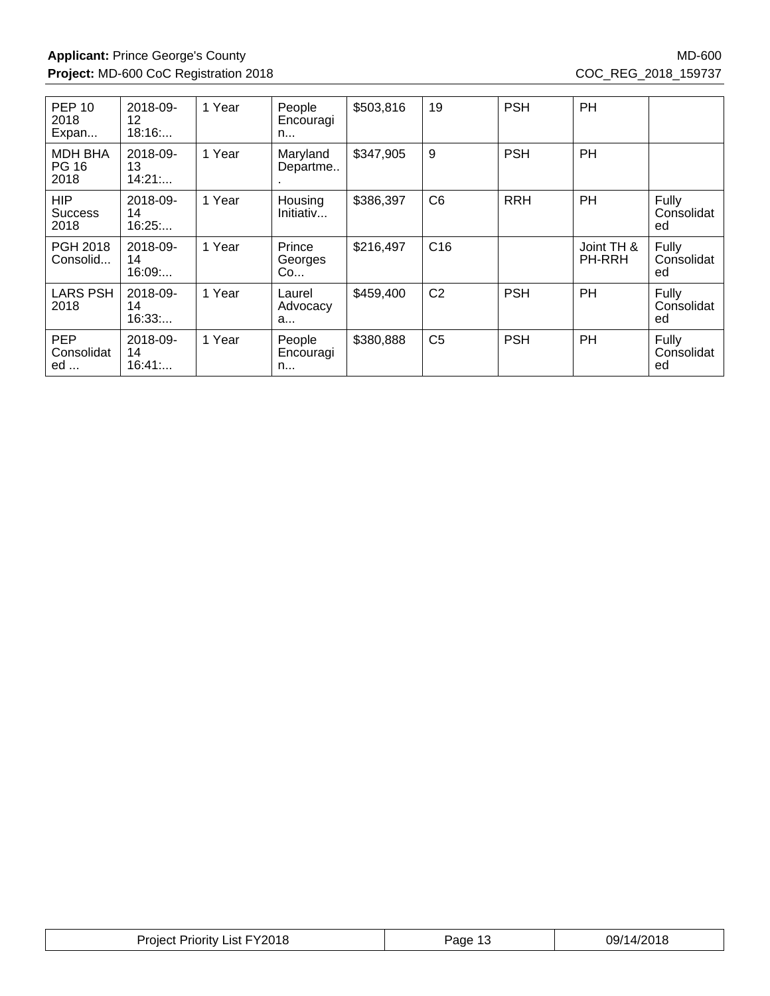| <b>PEP 10</b><br>2018<br>Expan         | 2018-09-<br>12<br>18:16  | 1 Year | People<br>Encouragi<br>n | \$503,816 | 19              | <b>PSH</b> | PH                          |                           |
|----------------------------------------|--------------------------|--------|--------------------------|-----------|-----------------|------------|-----------------------------|---------------------------|
| <b>MDH BHA</b><br><b>PG 16</b><br>2018 | 2018-09-<br>13<br>14:21  | 1 Year | Maryland<br>Departme     | \$347,905 | 9               | <b>PSH</b> | PH                          |                           |
| <b>HIP</b><br>Success<br>2018          | 2018-09-<br>14<br>16:25  | 1 Year | Housing<br>Initiativ     | \$386,397 | C <sub>6</sub>  | <b>RRH</b> | <b>PH</b>                   | Fully<br>Consolidat<br>ed |
| PGH 2018<br>Consolid                   | 2018-09-<br>14<br>16:09: | 1 Year | Prince<br>Georges<br>Co  | \$216,497 | C <sub>16</sub> |            | Joint TH &<br><b>PH-RRH</b> | Fully<br>Consolidat<br>ed |
| <b>LARS PSH</b><br>2018                | 2018-09-<br>14<br>16:33  | 1 Year | Laurel<br>Advocacy<br>a  | \$459,400 | C <sub>2</sub>  | <b>PSH</b> | PH                          | Fully<br>Consolidat<br>ed |
| <b>PEP</b><br>Consolidat<br>ed         | 2018-09-<br>14<br>16:41  | 1 Year | People<br>Encouragi<br>n | \$380,888 | C <sub>5</sub>  | <b>PSH</b> | PH                          | Fully<br>Consolidat<br>ed |

| FY2018<br><b>Projec</b><br>.ıst<br>Priority<br>__ | 'age<br>טו | 1001c<br>09/1 |
|---------------------------------------------------|------------|---------------|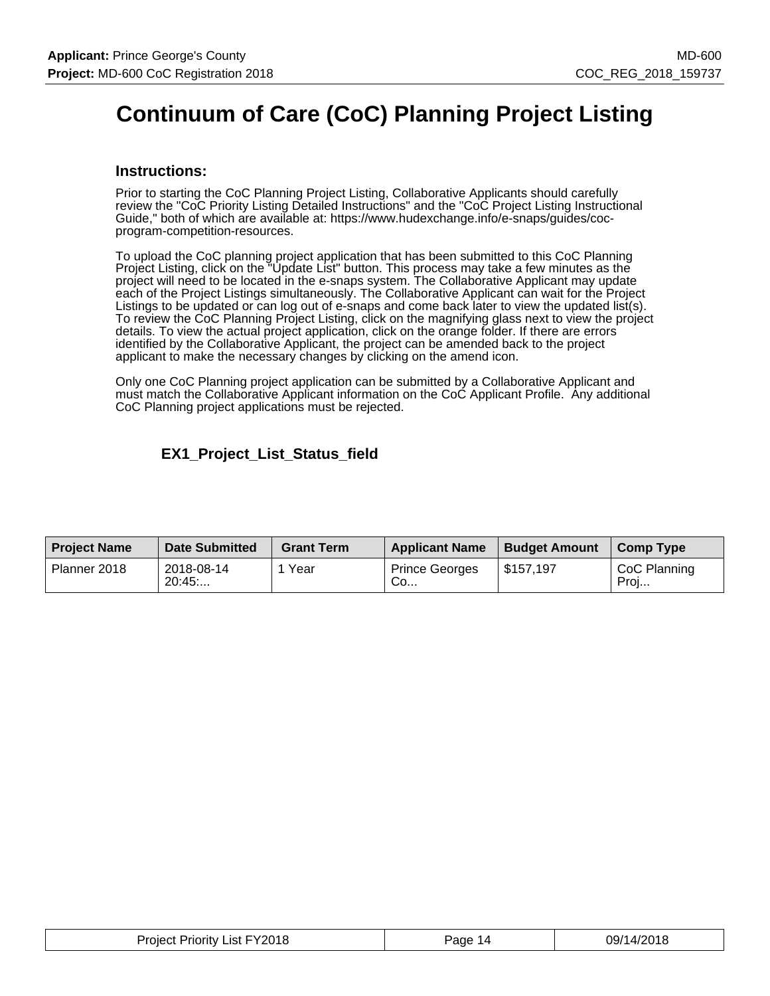# **Continuum of Care (CoC) Planning Project Listing**

#### **Instructions:**

Prior to starting the CoC Planning Project Listing, Collaborative Applicants should carefully review the "CoC Priority Listing Detailed Instructions" and the "CoC Project Listing Instructional Guide," both of which are available at: https://www.hudexchange.info/e-snaps/guides/cocprogram-competition-resources.

To upload the CoC planning project application that has been submitted to this CoC Planning Project Listing, click on the "Update List" button. This process may take a few minutes as the project will need to be located in the e-snaps system. The Collaborative Applicant may update each of the Project Listings simultaneously. The Collaborative Applicant can wait for the Project Listings to be updated or can log out of e-snaps and come back later to view the updated list(s). To review the CoC Planning Project Listing, click on the magnifying glass next to view the project details. To view the actual project application, click on the orange folder. If there are errors identified by the Collaborative Applicant, the project can be amended back to the project applicant to make the necessary changes by clicking on the amend icon.

Only one CoC Planning project application can be submitted by a Collaborative Applicant and must match the Collaborative Applicant information on the CoC Applicant Profile. Any additional CoC Planning project applications must be rejected.

## **EX1\_Project\_List\_Status\_field**

| <b>Project Name</b> | <b>Date Submitted</b> | <b>Grant Term</b> | <b>Applicant Name</b>       | <b>Budget Amount</b> | <b>Comp Type</b>     |
|---------------------|-----------------------|-------------------|-----------------------------|----------------------|----------------------|
| Planner 2018        | 2018-08-14<br>20:45   | Year              | <b>Prince Georges</b><br>Co | \$157,197            | CoC Planning<br>Proj |

| Project Priority List FY2018 | Page 14 | 09/14/2018 |
|------------------------------|---------|------------|
|------------------------------|---------|------------|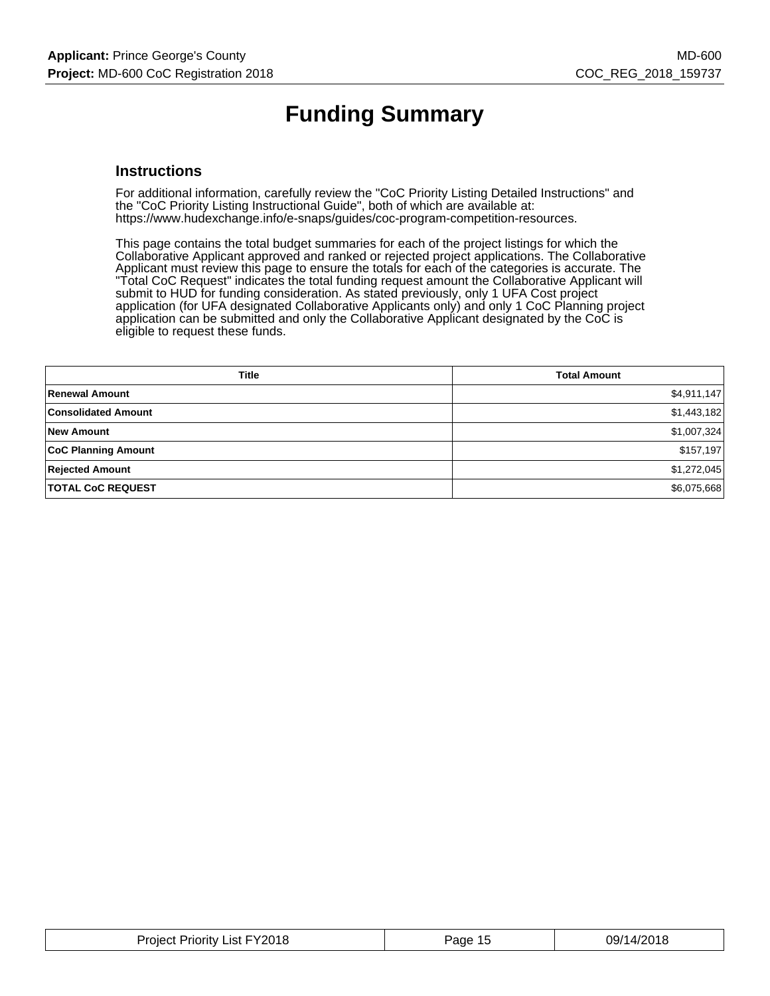# **Funding Summary**

#### **Instructions**

For additional information, carefully review the "CoC Priority Listing Detailed Instructions" and the "CoC Priority Listing Instructional Guide", both of which are available at: https://www.hudexchange.info/e-snaps/guides/coc-program-competition-resources.

This page contains the total budget summaries for each of the project listings for which the Collaborative Applicant approved and ranked or rejected project applications. The Collaborative Applicant must review this page to ensure the totals for each of the categories is accurate. The "Total CoC Request" indicates the total funding request amount the Collaborative Applicant will submit to HUD for funding consideration. As stated previously, only 1 UFA Cost project application (for UFA designated Collaborative Applicants only) and only 1 CoC Planning project application can be submitted and only the Collaborative Applicant designated by the CoC is eligible to request these funds.

| <b>Title</b>               | <b>Total Amount</b> |
|----------------------------|---------------------|
| Renewal Amount             | \$4,911,147         |
| <b>Consolidated Amount</b> | \$1,443,182         |
| <b>New Amount</b>          | \$1,007,324         |
| <b>CoC Planning Amount</b> | \$157,197           |
| <b>Rejected Amount</b>     | \$1,272,045         |
| <b>TOTAL CoC REQUEST</b>   | \$6,075,668         |

| <u>in the community of the community of the community of the community of the community of the community of the community of the community of the community of the community of the community of the community of the community </u><br>the contract of the contract of the contract of |
|-----------------------------------------------------------------------------------------------------------------------------------------------------------------------------------------------------------------------------------------------------------------------------------------|
|-----------------------------------------------------------------------------------------------------------------------------------------------------------------------------------------------------------------------------------------------------------------------------------------|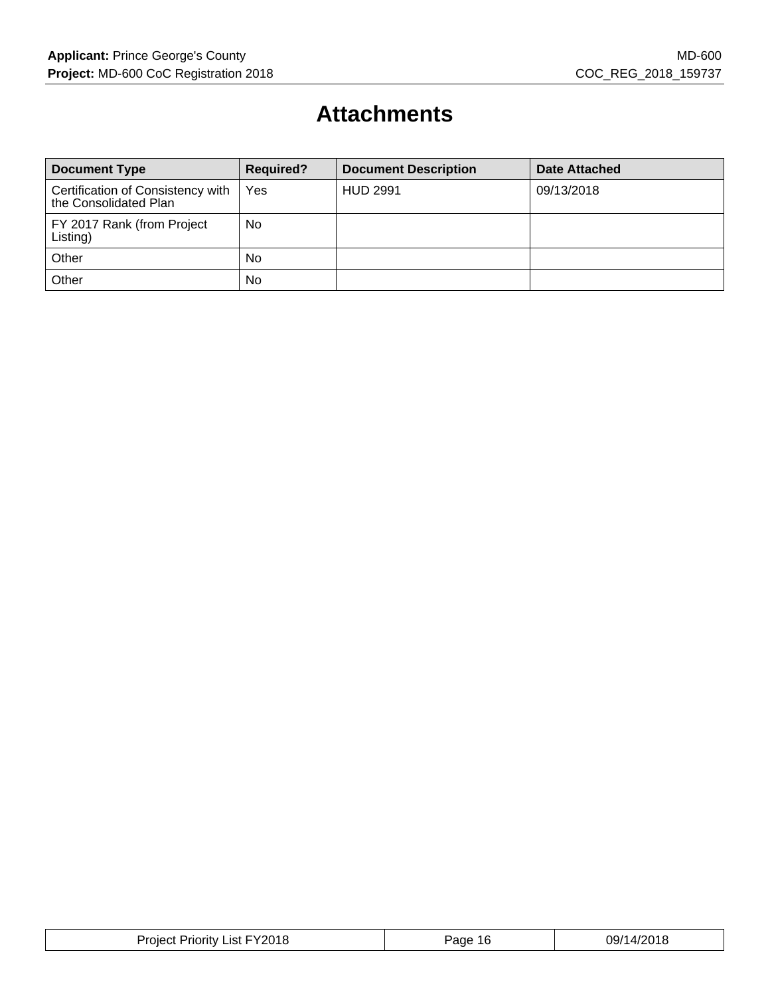# **Attachments**

| <b>Document Type</b>                                       | <b>Required?</b> | <b>Document Description</b> | Date Attached |
|------------------------------------------------------------|------------------|-----------------------------|---------------|
| Certification of Consistency with<br>the Consolidated Plan | Yes              | <b>HUD 2991</b>             | 09/13/2018    |
| FY 2017 Rank (from Project<br>Listing)                     | No               |                             |               |
| Other                                                      | <b>No</b>        |                             |               |
| Other                                                      | No               |                             |               |

| <b>Project Priority List FY2018</b> | Page 16 | 09/14/2018 |
|-------------------------------------|---------|------------|
|-------------------------------------|---------|------------|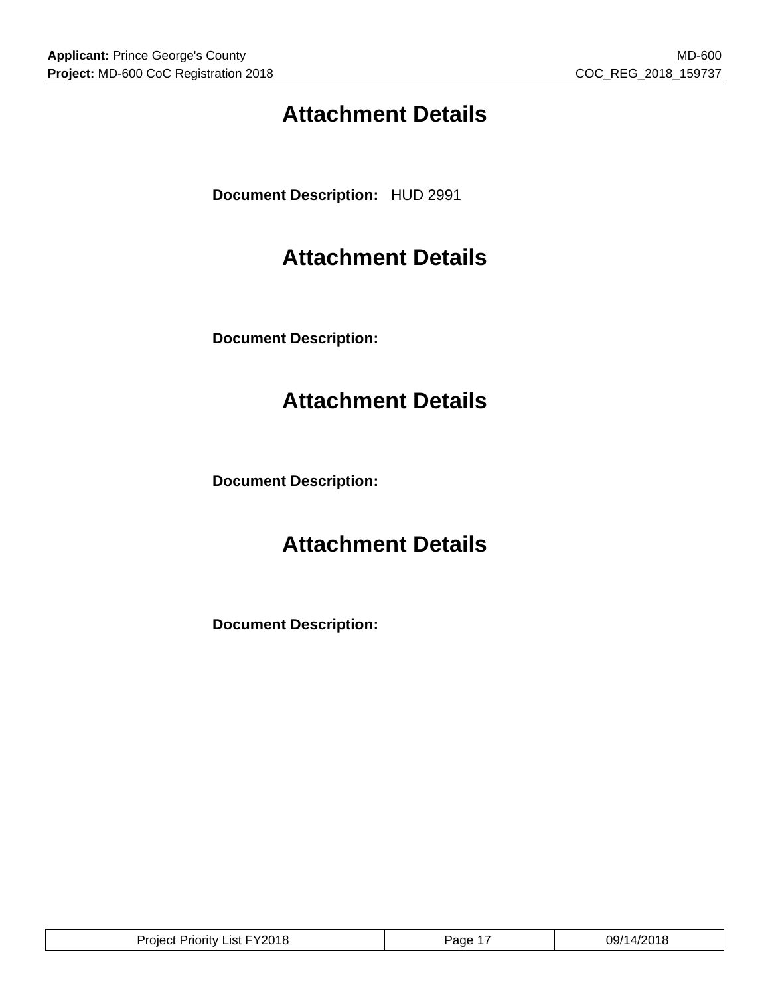# **Attachment Details**

**Document Description:** HUD 2991

# **Attachment Details**

**Document Description:**

# **Attachment Details**

**Document Description:**

# **Attachment Details**

**Document Description:**

| List FY2018<br>Project<br>Pri∩rit∨<br>. | . –<br>age' | .14/201<br>09/<br>18 |
|-----------------------------------------|-------------|----------------------|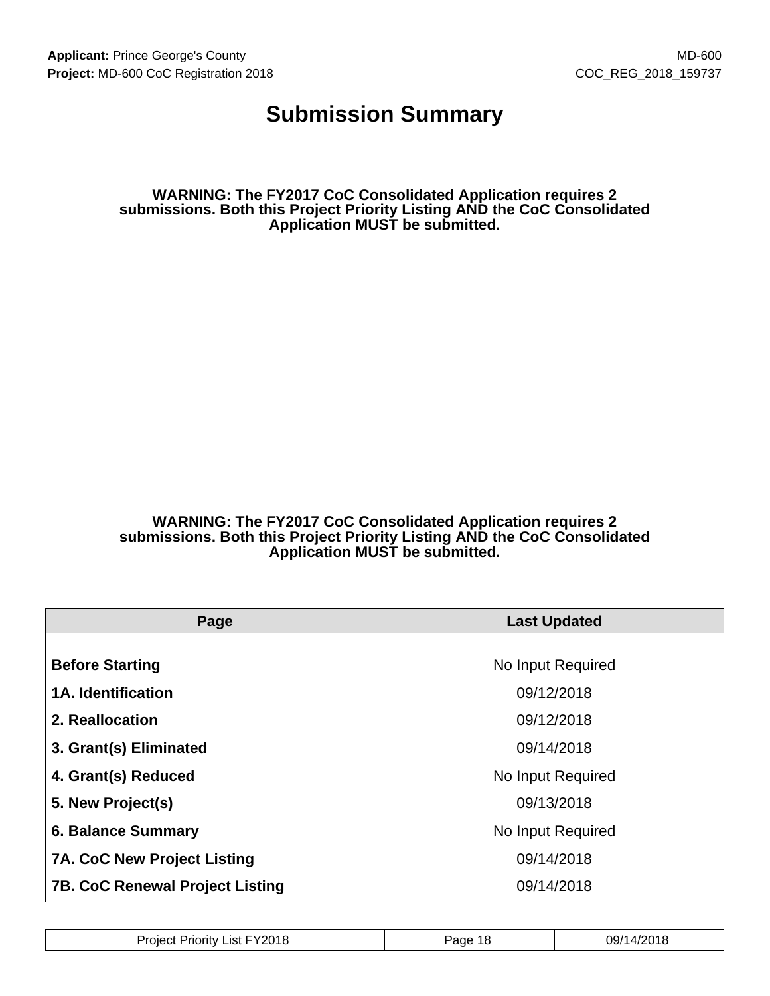## **Submission Summary**

**WARNING: The FY2017 CoC Consolidated Application requires 2 submissions. Both this Project Priority Listing AND the CoC Consolidated Application MUST be submitted.**

**WARNING: The FY2017 CoC Consolidated Application requires 2 submissions. Both this Project Priority Listing AND the CoC Consolidated Application MUST be submitted.**

| Page                                   | <b>Last Updated</b> |
|----------------------------------------|---------------------|
| <b>Before Starting</b>                 | No Input Required   |
|                                        |                     |
| <b>1A. Identification</b>              | 09/12/2018          |
| 2. Reallocation                        | 09/12/2018          |
| 3. Grant(s) Eliminated                 | 09/14/2018          |
| 4. Grant(s) Reduced                    | No Input Required   |
| 5. New Project(s)                      | 09/13/2018          |
| <b>6. Balance Summary</b>              | No Input Required   |
| <b>7A. CoC New Project Listing</b>     | 09/14/2018          |
| <b>7B. CoC Renewal Project Listing</b> | 09/14/2018          |

| Y2018<br>$.$ Jrs.<br>Priorit∖<br>.ıst.<br>Tolec | aae<br>10 | 1001<br>∩Q/1<br>ي ا<br>ບວກ |
|-------------------------------------------------|-----------|----------------------------|
|-------------------------------------------------|-----------|----------------------------|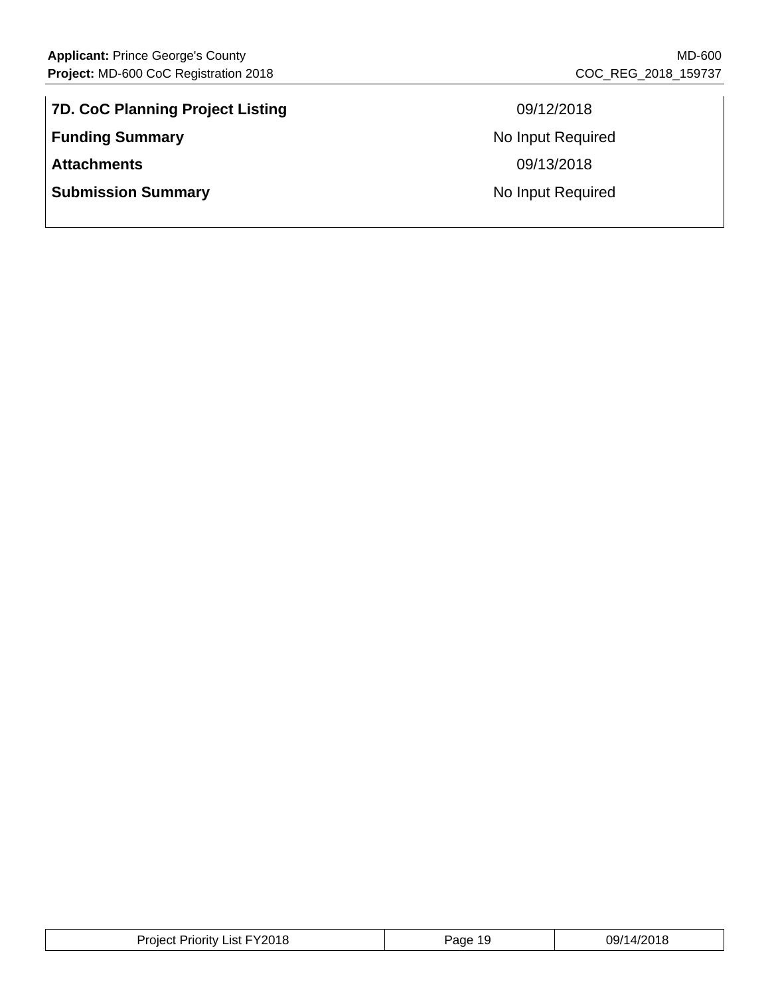| <b>7D. CoC Planning Project Listing</b> |
|-----------------------------------------|
| <b>Funding Summary</b>                  |
| <b>Attachments</b>                      |
| <b>Submission Summary</b>               |

**7D. CoC Planning Project Listing** 09/12/2018 **No Input Required Attachments** 09/13/2018 **No Input Required** 

| List FY2018<br>Proiect<br>Priority | ane<br>ា ប<br>. . | 1/201<br>09/1<br>720 I O |
|------------------------------------|-------------------|--------------------------|
|------------------------------------|-------------------|--------------------------|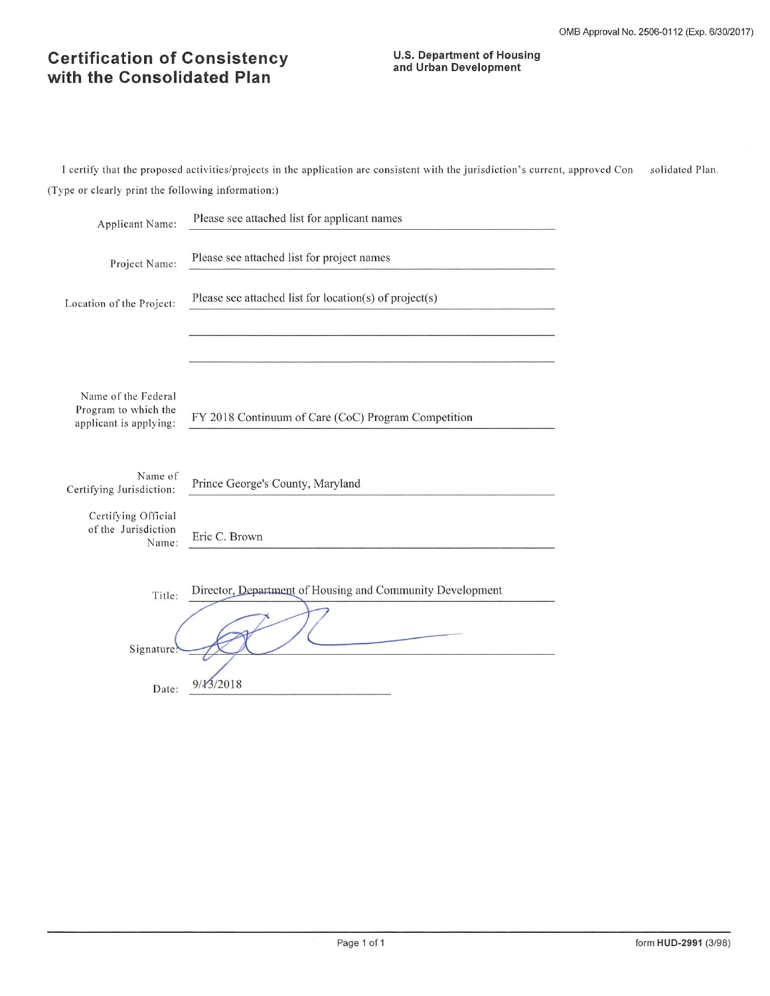## **Certification of Consistency** with the Consolidated Plan

# **U.S. Department of Housing<br>and Urban Development**

I certify that the proposed activities/projects in the application are consistent with the jurisdiction's current, approved Con solidated Plan. (Type or clearly print the following information:)

| Applicant Name:                                                       | Please see attached list for applicant names              |
|-----------------------------------------------------------------------|-----------------------------------------------------------|
| Project Name:                                                         | Please see attached list for project names                |
| Location of the Project:                                              | Please see attached list for location(s) of project(s)    |
|                                                                       |                                                           |
| Name of the Federal<br>Program to which the<br>applicant is applying: | FY 2018 Continuum of Care (CoC) Program Competition       |
| Name of<br>Certifying Jurisdiction:                                   | Prince George's County, Maryland                          |
| Certifying Official<br>of the Jurisdiction<br>Name:                   | Eric C. Brown                                             |
| Title:<br>Signature                                                   | Director, Department of Housing and Community Development |
| Date:                                                                 | 9/13/2018                                                 |